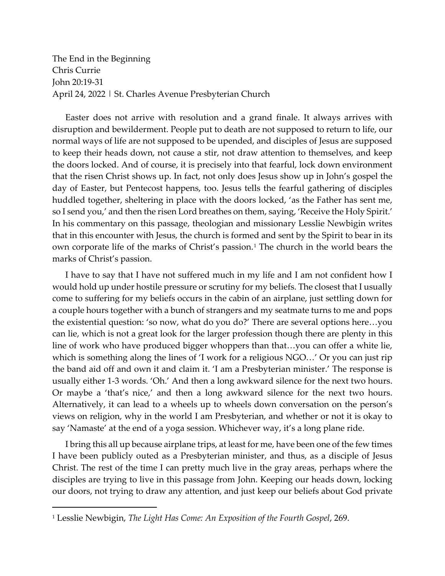The End in the Beginning Chris Currie John 20:19-31 April 24, 2022 | St. Charles Avenue Presbyterian Church

Easter does not arrive with resolution and a grand finale. It always arrives with disruption and bewilderment. People put to death are not supposed to return to life, our normal ways of life are not supposed to be upended, and disciples of Jesus are supposed to keep their heads down, not cause a stir, not draw attention to themselves, and keep the doors locked. And of course, it is precisely into that fearful, lock down environment that the risen Christ shows up. In fact, not only does Jesus show up in John's gospel the day of Easter, but Pentecost happens, too. Jesus tells the fearful gathering of disciples huddled together, sheltering in place with the doors locked, 'as the Father has sent me, so I send you,' and then the risen Lord breathes on them, saying, 'Receive the Holy Spirit.' In his commentary on this passage, theologian and missionary Lesslie Newbigin writes that in this encounter with Jesus, the church is formed and sent by the Spirit to bear in its own corporate life of the marks of Christ's passion.<sup>[1](#page-0-0)</sup> The church in the world bears the marks of Christ's passion.

I have to say that I have not suffered much in my life and I am not confident how I would hold up under hostile pressure or scrutiny for my beliefs. The closest that I usually come to suffering for my beliefs occurs in the cabin of an airplane, just settling down for a couple hours together with a bunch of strangers and my seatmate turns to me and pops the existential question: 'so now, what do you do?' There are several options here…you can lie, which is not a great look for the larger profession though there are plenty in this line of work who have produced bigger whoppers than that…you can offer a white lie, which is something along the lines of 'I work for a religious NGO…' Or you can just rip the band aid off and own it and claim it. 'I am a Presbyterian minister.' The response is usually either 1-3 words. 'Oh.' And then a long awkward silence for the next two hours. Or maybe a 'that's nice,' and then a long awkward silence for the next two hours. Alternatively, it can lead to a wheels up to wheels down conversation on the person's views on religion, why in the world I am Presbyterian, and whether or not it is okay to say 'Namaste' at the end of a yoga session. Whichever way, it's a long plane ride.

I bring this all up because airplane trips, at least for me, have been one of the few times I have been publicly outed as a Presbyterian minister, and thus, as a disciple of Jesus Christ. The rest of the time I can pretty much live in the gray areas, perhaps where the disciples are trying to live in this passage from John. Keeping our heads down, locking our doors, not trying to draw any attention, and just keep our beliefs about God private

<span id="page-0-0"></span><sup>1</sup> Lesslie Newbigin, *The Light Has Come: An Exposition of the Fourth Gospel*, 269.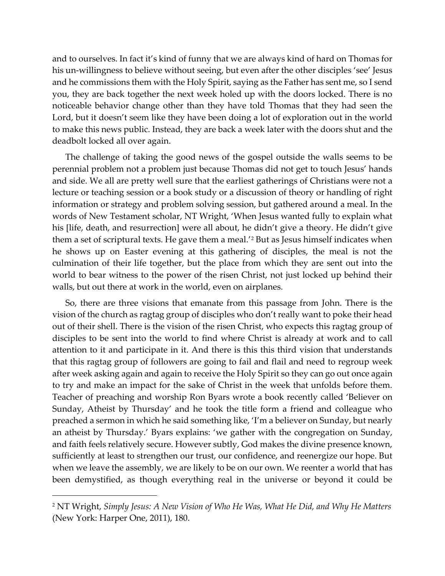and to ourselves. In fact it's kind of funny that we are always kind of hard on Thomas for his un-willingness to believe without seeing, but even after the other disciples 'see' Jesus and he commissions them with the Holy Spirit, saying as the Father has sent me, so I send you, they are back together the next week holed up with the doors locked. There is no noticeable behavior change other than they have told Thomas that they had seen the Lord, but it doesn't seem like they have been doing a lot of exploration out in the world to make this news public. Instead, they are back a week later with the doors shut and the deadbolt locked all over again.

The challenge of taking the good news of the gospel outside the walls seems to be perennial problem not a problem just because Thomas did not get to touch Jesus' hands and side. We all are pretty well sure that the earliest gatherings of Christians were not a lecture or teaching session or a book study or a discussion of theory or handling of right information or strategy and problem solving session, but gathered around a meal. In the words of New Testament scholar, NT Wright, 'When Jesus wanted fully to explain what his [life, death, and resurrection] were all about, he didn't give a theory. He didn't give them a set of scriptural texts. He gave them a meal.'[2](#page-1-0) But as Jesus himself indicates when he shows up on Easter evening at this gathering of disciples, the meal is not the culmination of their life together, but the place from which they are sent out into the world to bear witness to the power of the risen Christ, not just locked up behind their walls, but out there at work in the world, even on airplanes.

So, there are three visions that emanate from this passage from John. There is the vision of the church as ragtag group of disciples who don't really want to poke their head out of their shell. There is the vision of the risen Christ, who expects this ragtag group of disciples to be sent into the world to find where Christ is already at work and to call attention to it and participate in it. And there is this this third vision that understands that this ragtag group of followers are going to fail and flail and need to regroup week after week asking again and again to receive the Holy Spirit so they can go out once again to try and make an impact for the sake of Christ in the week that unfolds before them. Teacher of preaching and worship Ron Byars wrote a book recently called 'Believer on Sunday, Atheist by Thursday' and he took the title form a friend and colleague who preached a sermon in which he said something like, 'I'm a believer on Sunday, but nearly an atheist by Thursday.' Byars explains: 'we gather with the congregation on Sunday, and faith feels relatively secure. However subtly, God makes the divine presence known, sufficiently at least to strengthen our trust, our confidence, and reenergize our hope. But when we leave the assembly, we are likely to be on our own. We reenter a world that has been demystified, as though everything real in the universe or beyond it could be

<span id="page-1-0"></span><sup>2</sup> NT Wright, *Simply Jesus: A New Vision of Who He Was, What He Did, and Why He Matters*  (New York: Harper One, 2011), 180.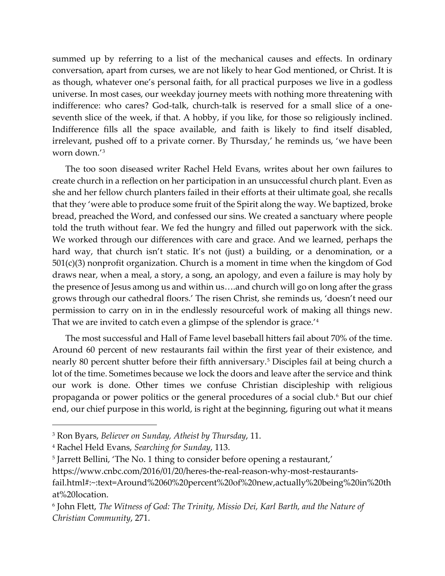summed up by referring to a list of the mechanical causes and effects. In ordinary conversation, apart from curses, we are not likely to hear God mentioned, or Christ. It is as though, whatever one's personal faith, for all practical purposes we live in a godless universe. In most cases, our weekday journey meets with nothing more threatening with indifference: who cares? God-talk, church-talk is reserved for a small slice of a oneseventh slice of the week, if that. A hobby, if you like, for those so religiously inclined. Indifference fills all the space available, and faith is likely to find itself disabled, irrelevant, pushed off to a private corner. By Thursday,' he reminds us, 'we have been worn down.'[3](#page-2-0)

The too soon diseased writer Rachel Held Evans, writes about her own failures to create church in a reflection on her participation in an unsuccessful church plant. Even as she and her fellow church planters failed in their efforts at their ultimate goal, she recalls that they 'were able to produce some fruit of the Spirit along the way. We baptized, broke bread, preached the Word, and confessed our sins. We created a sanctuary where people told the truth without fear. We fed the hungry and filled out paperwork with the sick. We worked through our differences with care and grace. And we learned, perhaps the hard way, that church isn't static. It's not (just) a building, or a denomination, or a  $501(c)(3)$  nonprofit organization. Church is a moment in time when the kingdom of God draws near, when a meal, a story, a song, an apology, and even a failure is may holy by the presence of Jesus among us and within us….and church will go on long after the grass grows through our cathedral floors.' The risen Christ, she reminds us, 'doesn't need our permission to carry on in in the endlessly resourceful work of making all things new. That we are invited to catch even a glimpse of the splendor is grace.'[4](#page-2-1)

The most successful and Hall of Fame level baseball hitters fail about 70% of the time. Around 60 percent of new restaurants fail within the first year of their existence, and nearly 80 percent shutter before their fifth anniversary.<sup>[5](#page-2-2)</sup> Disciples fail at being church a lot of the time. Sometimes because we lock the doors and leave after the service and think our work is done. Other times we confuse Christian discipleship with religious propaganda or power politics or the general procedures of a social club.<sup>[6](#page-2-3)</sup> But our chief end, our chief purpose in this world, is right at the beginning, figuring out what it means

<span id="page-2-0"></span><sup>3</sup> Ron Byars, *Believer on Sunday, Atheist by Thursday*, 11.

<span id="page-2-1"></span><sup>4</sup> Rachel Held Evans, *Searching for Sunday*, 113.

<span id="page-2-2"></span><sup>5</sup> Jarrett Bellini, 'The No. 1 thing to consider before opening a restaurant,'

https://www.cnbc.com/2016/01/20/heres-the-real-reason-why-most-restaurantsfail.html#:~:text=Around%2060%20percent%20of%20new,actually%20being%20in%20th at%20location.

<span id="page-2-3"></span><sup>6</sup> John Flett, *The Witness of God: The Trinity, Missio Dei, Karl Barth, and the Nature of Christian Community*, 271.